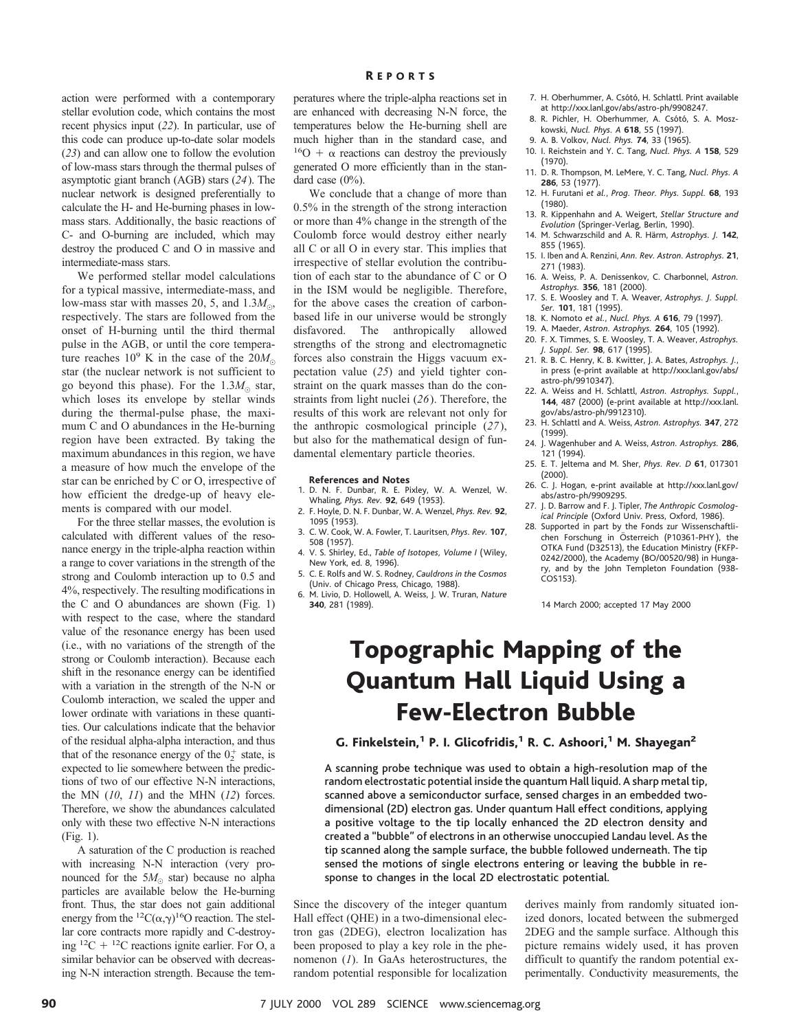action were performed with a contemporary stellar evolution code, which contains the most recent physics input (*22*). In particular, use of this code can produce up-to-date solar models (*23*) and can allow one to follow the evolution of low-mass stars through the thermal pulses of asymptotic giant branch (AGB) stars (*24*). The nuclear network is designed preferentially to calculate the H- and He-burning phases in lowmass stars. Additionally, the basic reactions of C- and O-burning are included, which may destroy the produced C and O in massive and intermediate-mass stars.

We performed stellar model calculations for a typical massive, intermediate-mass, and low-mass star with masses 20, 5, and  $1.3M_{\odot}$ , respectively. The stars are followed from the onset of H-burning until the third thermal pulse in the AGB, or until the core temperature reaches  $10^9$  K in the case of the  $20M_{\odot}$ star (the nuclear network is not sufficient to go beyond this phase). For the  $1.3M_{\odot}$  star, which loses its envelope by stellar winds during the thermal-pulse phase, the maximum C and O abundances in the He-burning region have been extracted. By taking the maximum abundances in this region, we have a measure of how much the envelope of the star can be enriched by C or O, irrespective of how efficient the dredge-up of heavy elements is compared with our model.

For the three stellar masses, the evolution is calculated with different values of the resonance energy in the triple-alpha reaction within a range to cover variations in the strength of the strong and Coulomb interaction up to 0.5 and 4%, respectively. The resulting modifications in the C and O abundances are shown (Fig. 1) with respect to the case, where the standard value of the resonance energy has been used (i.e., with no variations of the strength of the strong or Coulomb interaction). Because each shift in the resonance energy can be identified with a variation in the strength of the N-N or Coulomb interaction, we scaled the upper and lower ordinate with variations in these quantities. Our calculations indicate that the behavior of the residual alpha-alpha interaction, and thus that of the resonance energy of the  $0^+_2$  state, is expected to lie somewhere between the predictions of two of our effective N-N interactions, the MN (*10*, *11*) and the MHN (*12*) forces. Therefore, we show the abundances calculated only with these two effective N-N interactions (Fig. 1).

A saturation of the C production is reached with increasing N-N interaction (very pronounced for the  $5M_{\odot}$  star) because no alpha particles are available below the He-burning front. Thus, the star does not gain additional energy from the <sup>12</sup>C( $\alpha$ , $\gamma$ )<sup>16</sup>O reaction. The stellar core contracts more rapidly and C-destroying  ${}^{12}C + {}^{12}C$  reactions ignite earlier. For O, a similar behavior can be observed with decreasing N-N interaction strength. Because the tem-

#### R EPORTS

peratures where the triple-alpha reactions set in are enhanced with decreasing N-N force, the temperatures below the He-burning shell are much higher than in the standard case, and  $^{16}O + \alpha$  reactions can destroy the previously generated O more efficiently than in the standard case  $(0\%)$ .

We conclude that a change of more than 0.5% in the strength of the strong interaction or more than 4% change in the strength of the Coulomb force would destroy either nearly all C or all O in every star. This implies that irrespective of stellar evolution the contribution of each star to the abundance of C or O in the ISM would be negligible. Therefore, for the above cases the creation of carbonbased life in our universe would be strongly disfavored. The anthropically allowed strengths of the strong and electromagnetic forces also constrain the Higgs vacuum expectation value (*25*) and yield tighter constraint on the quark masses than do the constraints from light nuclei (*26*). Therefore, the results of this work are relevant not only for the anthropic cosmological principle (*27*), but also for the mathematical design of fundamental elementary particle theories.

#### **References and Notes**

- 1. D. N. F. Dunbar, R. E. Pixley, W. A. Wenzel, W. Whaling, *Phys. Rev.* **92**, 649 (1953).
- 2. F. Hoyle, D. N. F. Dunbar, W. A. Wenzel, *Phys. Rev.* **92**, 1095 (1953).
- 3. C. W. Cook, W. A. Fowler, T. Lauritsen, *Phys. Rev.* **107**, 508 (1957).
- 4. V. S. Shirley, Ed., *Table of Isotopes, Volume I* (Wiley, New York, ed. 8, 1996).
- 5. C. E. Rolfs and W. S. Rodney, *Cauldrons in the Cosmos* (Univ. of Chicago Press, Chicago, 1988).
- 6. M. Livio, D. Hollowell, A. Weiss, J. W. Truran, *Nature* **340**, 281 (1989).
- 7. H. Oberhummer, A. Csótó, H. Schlattl. Print available at http://xxx.lanl.gov/abs/astro-ph/9908247.
- 8. R. Pichler, H. Oberhummer, A. Csótó, S. A. Moszkowski, *Nucl. Phys. A* **618**, 55 (1997).
- 9. A. B. Volkov, *Nucl. Phys.* **74**, 33 (1965).
- 10. I. Reichstein and Y. C. Tang, *Nucl. Phys. A* **158**, 529 (1970).
- 11. D. R. Thompson, M. LeMere, Y. C. Tang, *Nucl. Phys. A* **286**, 53 (1977).
- 12. H. Furutani *et al.*, *Prog. Theor. Phys. Suppl.* **68**, 193 (1980).
- 13. R. Kippenhahn and A. Weigert, *Stellar Structure and Evolution* (Springer-Verlag, Berlin, 1990).
- 14. M. Schwarzschild and A. R. Härm, Astrophys. J. 142, 855 (1965).
- 15. I. Iben and A. Renzini, *Ann. Rev. Astron. Astrophys.* **21**, 271 (1983).
- 16. A. Weiss, P. A. Denissenkov, C. Charbonnel, *Astron. Astrophys.* **356**, 181 (2000).
- 17. S. E. Woosley and T. A. Weaver, *Astrophys. J. Suppl. Ser.* **101**, 181 (1995).
- 18. K. Nomoto *et al.*, *Nucl. Phys. A* **616**, 79 (1997).
- 19. A. Maeder, *Astron. Astrophys.* **264**, 105 (1992).
- 20. F. X. Timmes, S. E. Woosley, T. A. Weaver, *Astrophys. J. Suppl. Ser.* **98**, 617 (1995).
- 21. R. B. C. Henry, K. B. Kwitter, J. A. Bates, *Astrophys. J.*, in press (e-print available at http://xxx.lanl.gov/abs/ astro-ph/9910347).
- 22. A. Weiss and H. Schlattl, *Astron. Astrophys. Suppl.*, **144**, 487 (2000) (e-print available at http://xxx.lanl. gov/abs/astro-ph/9912310).
- 23. H. Schlattl and A. Weiss, *Astron. Astrophys.* **347**, 272 (1999).
- 24. J. Wagenhuber and A. Weiss, *Astron. Astrophys.* **286**, 121 (1994).
- 25. E. T. Jeltema and M. Sher, *Phys. Rev. D* **61**, 017301 (2000).
- 26. C. J. Hogan, e-print available at http://xxx.lanl.gov/ abs/astro-ph/9909295.
- 27. J. D. Barrow and F. J. Tipler, *The Anthropic Cosmological Principle* (Oxford Univ. Press, Oxford, 1986).
- 28. Supported in part by the Fonds zur Wissenschaftli-<br>chen Forschung in Österreich (P10361-PHY), the OTKA Fund (D32513), the Education Ministry (FKFP-0242/2000), the Academy (BO/00520/98) in Hungary, and by the John Templeton Foundation (938- COS153).

14 March 2000; accepted 17 May 2000

## Topographic Mapping of the Quantum Hall Liquid Using a Few-Electron Bubble

G. Finkelstein,<sup>1</sup> P. I. Glicofridis,<sup>1</sup> R. C. Ashoori,<sup>1</sup> M. Shayegan<sup>2</sup>

A scanning probe technique was used to obtain a high-resolution map of the random electrostatic potential inside the quantum Hall liquid. A sharp metal tip, scanned above a semiconductor surface, sensed charges in an embedded twodimensional (2D) electron gas. Under quantum Hall effect conditions, applying a positive voltage to the tip locally enhanced the 2D electron density and created a "bubble" of electrons in an otherwise unoccupied Landau level. As the tip scanned along the sample surface, the bubble followed underneath. The tip sensed the motions of single electrons entering or leaving the bubble in response to changes in the local 2D electrostatic potential.

Since the discovery of the integer quantum Hall effect (QHE) in a two-dimensional electron gas (2DEG), electron localization has been proposed to play a key role in the phenomenon (*1*). In GaAs heterostructures, the random potential responsible for localization

derives mainly from randomly situated ionized donors, located between the submerged 2DEG and the sample surface. Although this picture remains widely used, it has proven difficult to quantify the random potential experimentally. Conductivity measurements, the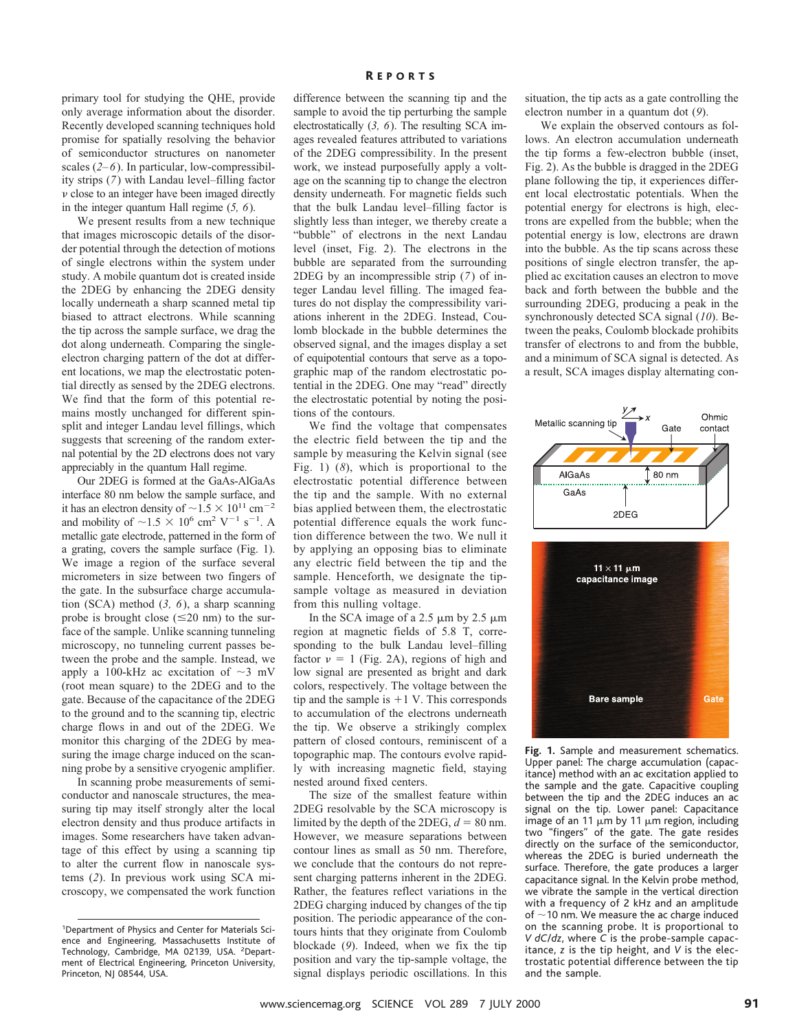primary tool for studying the QHE, provide only average information about the disorder. Recently developed scanning techniques hold promise for spatially resolving the behavior of semiconductor structures on nanometer scales (*2–6*). In particular, low-compressibility strips (*7*) with Landau level–filling factor  $\nu$  close to an integer have been imaged directly in the integer quantum Hall regime (*5, 6*).

We present results from a new technique that images microscopic details of the disorder potential through the detection of motions of single electrons within the system under study. A mobile quantum dot is created inside the 2DEG by enhancing the 2DEG density locally underneath a sharp scanned metal tip biased to attract electrons. While scanning the tip across the sample surface, we drag the dot along underneath. Comparing the singleelectron charging pattern of the dot at different locations, we map the electrostatic potential directly as sensed by the 2DEG electrons. We find that the form of this potential remains mostly unchanged for different spinsplit and integer Landau level fillings, which suggests that screening of the random external potential by the 2D electrons does not vary appreciably in the quantum Hall regime.

Our 2DEG is formed at the GaAs-AlGaAs interface 80 nm below the sample surface, and it has an electron density of  $\sim$  1.5  $\times$  10<sup>11</sup> cm<sup>-2</sup> and mobility of  $\sim$ 1.5  $\times$  10<sup>6</sup> cm<sup>2</sup> V<sup>-1</sup> s<sup>-1</sup>. A metallic gate electrode, patterned in the form of a grating, covers the sample surface (Fig. 1). We image a region of the surface several micrometers in size between two fingers of the gate. In the subsurface charge accumulation (SCA) method (*3, 6*), a sharp scanning probe is brought close  $(\leq 20 \text{ nm})$  to the surface of the sample. Unlike scanning tunneling microscopy, no tunneling current passes between the probe and the sample. Instead, we apply a 100-kHz ac excitation of  $\sim$ 3 mV (root mean square) to the 2DEG and to the gate. Because of the capacitance of the 2DEG to the ground and to the scanning tip, electric charge flows in and out of the 2DEG. We monitor this charging of the 2DEG by measuring the image charge induced on the scanning probe by a sensitive cryogenic amplifier.

In scanning probe measurements of semiconductor and nanoscale structures, the measuring tip may itself strongly alter the local electron density and thus produce artifacts in images. Some researchers have taken advantage of this effect by using a scanning tip to alter the current flow in nanoscale systems (*2*). In previous work using SCA microscopy, we compensated the work function

difference between the scanning tip and the sample to avoid the tip perturbing the sample electrostatically (*3, 6*). The resulting SCA images revealed features attributed to variations of the 2DEG compressibility. In the present work, we instead purposefully apply a voltage on the scanning tip to change the electron density underneath. For magnetic fields such that the bulk Landau level–filling factor is slightly less than integer, we thereby create a "bubble" of electrons in the next Landau level (inset, Fig. 2). The electrons in the bubble are separated from the surrounding 2DEG by an incompressible strip (*7*) of integer Landau level filling. The imaged features do not display the compressibility variations inherent in the 2DEG. Instead, Coulomb blockade in the bubble determines the observed signal, and the images display a set of equipotential contours that serve as a topographic map of the random electrostatic potential in the 2DEG. One may "read" directly the electrostatic potential by noting the positions of the contours.

We find the voltage that compensates the electric field between the tip and the sample by measuring the Kelvin signal (see Fig. 1) (*8*), which is proportional to the electrostatic potential difference between the tip and the sample. With no external bias applied between them, the electrostatic potential difference equals the work function difference between the two. We null it by applying an opposing bias to eliminate any electric field between the tip and the sample. Henceforth, we designate the tipsample voltage as measured in deviation from this nulling voltage.

In the SCA image of a 2.5  $\mu$ m by 2.5  $\mu$ m region at magnetic fields of 5.8 T, corresponding to the bulk Landau level–filling factor  $v = 1$  (Fig. 2A), regions of high and low signal are presented as bright and dark colors, respectively. The voltage between the tip and the sample is  $+1$  V. This corresponds to accumulation of the electrons underneath the tip. We observe a strikingly complex pattern of closed contours, reminiscent of a topographic map. The contours evolve rapidly with increasing magnetic field, staying nested around fixed centers.

The size of the smallest feature within 2DEG resolvable by the SCA microscopy is limited by the depth of the 2DEG,  $d = 80$  nm. However, we measure separations between contour lines as small as 50 nm. Therefore, we conclude that the contours do not represent charging patterns inherent in the 2DEG. Rather, the features reflect variations in the 2DEG charging induced by changes of the tip position. The periodic appearance of the contours hints that they originate from Coulomb blockade (*9*). Indeed, when we fix the tip position and vary the tip-sample voltage, the signal displays periodic oscillations. In this

situation, the tip acts as a gate controlling the electron number in a quantum dot (*9*).

We explain the observed contours as follows. An electron accumulation underneath the tip forms a few-electron bubble (inset, Fig. 2). As the bubble is dragged in the 2DEG plane following the tip, it experiences different local electrostatic potentials. When the potential energy for electrons is high, electrons are expelled from the bubble; when the potential energy is low, electrons are drawn into the bubble. As the tip scans across these positions of single electron transfer, the applied ac excitation causes an electron to move back and forth between the bubble and the surrounding 2DEG, producing a peak in the synchronously detected SCA signal (*10*). Between the peaks, Coulomb blockade prohibits transfer of electrons to and from the bubble, and a minimum of SCA signal is detected. As a result, SCA images display alternating con-



**Fig. 1.** Sample and measurement schematics. Upper panel: The charge accumulation (capacitance) method with an ac excitation applied to the sample and the gate. Capacitive coupling between the tip and the 2DEG induces an ac signal on the tip. Lower panel: Capacitance image of an 11  $\mu$ m by 11  $\mu$ m region, including two "fingers" of the gate. The gate resides directly on the surface of the semiconductor, whereas the 2DEG is buried underneath the surface. Therefore, the gate produces a larger capacitance signal. In the Kelvin probe method, we vibrate the sample in the vertical direction with a frequency of 2 kHz and an amplitude of  $\sim$  10 nm. We measure the ac charge induced on the scanning probe. It is proportional to *V dC*/*dz*, where *C* is the probe-sample capacitance, *z* is the tip height, and *V* is the electrostatic potential difference between the tip and the sample.

<sup>&</sup>lt;sup>1</sup>Department of Physics and Center for Materials Science and Engineering, Massachusetts Institute of Technology, Cambridge, MA 02139, USA. <sup>2</sup>Department of Electrical Engineering, Princeton University, Princeton, NJ 08544, USA.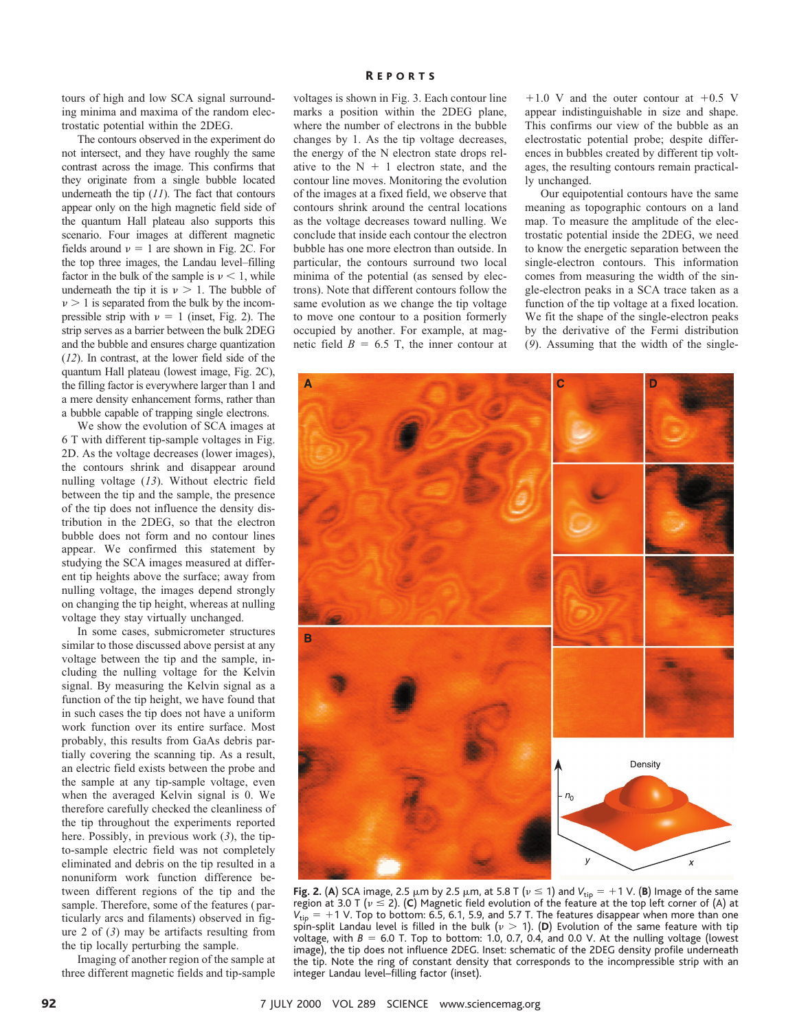tours of high and low SCA signal surrounding minima and maxima of the random electrostatic potential within the 2DEG.

The contours observed in the experiment do not intersect, and they have roughly the same contrast across the image. This confirms that they originate from a single bubble located underneath the tip (*11*). The fact that contours appear only on the high magnetic field side of the quantum Hall plateau also supports this scenario. Four images at different magnetic fields around  $\nu = 1$  are shown in Fig. 2C. For the top three images, the Landau level–filling factor in the bulk of the sample is  $\nu < 1$ , while underneath the tip it is  $\nu > 1$ . The bubble of  $\nu > 1$  is separated from the bulk by the incompressible strip with  $\nu = 1$  (inset, Fig. 2). The strip serves as a barrier between the bulk 2DEG and the bubble and ensures charge quantization (*12*). In contrast, at the lower field side of the quantum Hall plateau (lowest image, Fig. 2C), the filling factor is everywhere larger than 1 and a mere density enhancement forms, rather than a bubble capable of trapping single electrons.

We show the evolution of SCA images at 6 T with different tip-sample voltages in Fig. 2D. As the voltage decreases (lower images), the contours shrink and disappear around nulling voltage (*13*). Without electric field between the tip and the sample, the presence of the tip does not influence the density distribution in the 2DEG, so that the electron bubble does not form and no contour lines appear. We confirmed this statement by studying the SCA images measured at different tip heights above the surface; away from nulling voltage, the images depend strongly on changing the tip height, whereas at nulling voltage they stay virtually unchanged.

In some cases, submicrometer structures similar to those discussed above persist at any voltage between the tip and the sample, including the nulling voltage for the Kelvin signal. By measuring the Kelvin signal as a function of the tip height, we have found that in such cases the tip does not have a uniform work function over its entire surface. Most probably, this results from GaAs debris partially covering the scanning tip. As a result, an electric field exists between the probe and the sample at any tip-sample voltage, even when the averaged Kelvin signal is 0. We therefore carefully checked the cleanliness of the tip throughout the experiments reported here. Possibly, in previous work (*3*), the tipto-sample electric field was not completely eliminated and debris on the tip resulted in a nonuniform work function difference between different regions of the tip and the sample. Therefore, some of the features (particularly arcs and filaments) observed in figure 2 of (*3*) may be artifacts resulting from the tip locally perturbing the sample.

Imaging of another region of the sample at three different magnetic fields and tip-sample voltages is shown in Fig. 3. Each contour line marks a position within the 2DEG plane, where the number of electrons in the bubble changes by 1. As the tip voltage decreases, the energy of the N electron state drops relative to the  $N + 1$  electron state, and the contour line moves. Monitoring the evolution of the images at a fixed field, we observe that contours shrink around the central locations as the voltage decreases toward nulling. We conclude that inside each contour the electron bubble has one more electron than outside. In particular, the contours surround two local minima of the potential (as sensed by electrons). Note that different contours follow the same evolution as we change the tip voltage to move one contour to a position formerly occupied by another. For example, at magnetic field  $B = 6.5$  T, the inner contour at

 $+1.0$  V and the outer contour at  $+0.5$  V appear indistinguishable in size and shape. This confirms our view of the bubble as an electrostatic potential probe; despite differences in bubbles created by different tip voltages, the resulting contours remain practically unchanged.

Our equipotential contours have the same meaning as topographic contours on a land map. To measure the amplitude of the electrostatic potential inside the 2DEG, we need to know the energetic separation between the single-electron contours. This information comes from measuring the width of the single-electron peaks in a SCA trace taken as a function of the tip voltage at a fixed location. We fit the shape of the single-electron peaks by the derivative of the Fermi distribution (*9*). Assuming that the width of the single-



**Fig. 2. (A)** SCA image, 2.5  $\mu$ m by 2.5  $\mu$ m, at 5.8 T ( $\nu \le 1$ ) and  $V_{\text{tip}} = +1$  V. (**B**) Image of the same region at 3.0 T ( $\nu \le 2$ ). (C) Magnetic field evolution of the feature at the top left corner of (A) at  $V_{\text{tip}} = +1$  V. Top to bottom: 6.5, 6.1, 5.9, and 5.7 T. The features disappear when more than one spin-split Landau level is filled in the bulk ( $\nu > 1$ ). (D) Evolution of the same feature with tip voltage, with  $B = 6.0$  T. Top to bottom: 1.0, 0.7, 0.4, and 0.0 V. At the nulling voltage (lowest image), the tip does not influence 2DEG. Inset: schematic of the 2DEG density profile underneath the tip. Note the ring of constant density that corresponds to the incompressible strip with an integer Landau level–filling factor (inset).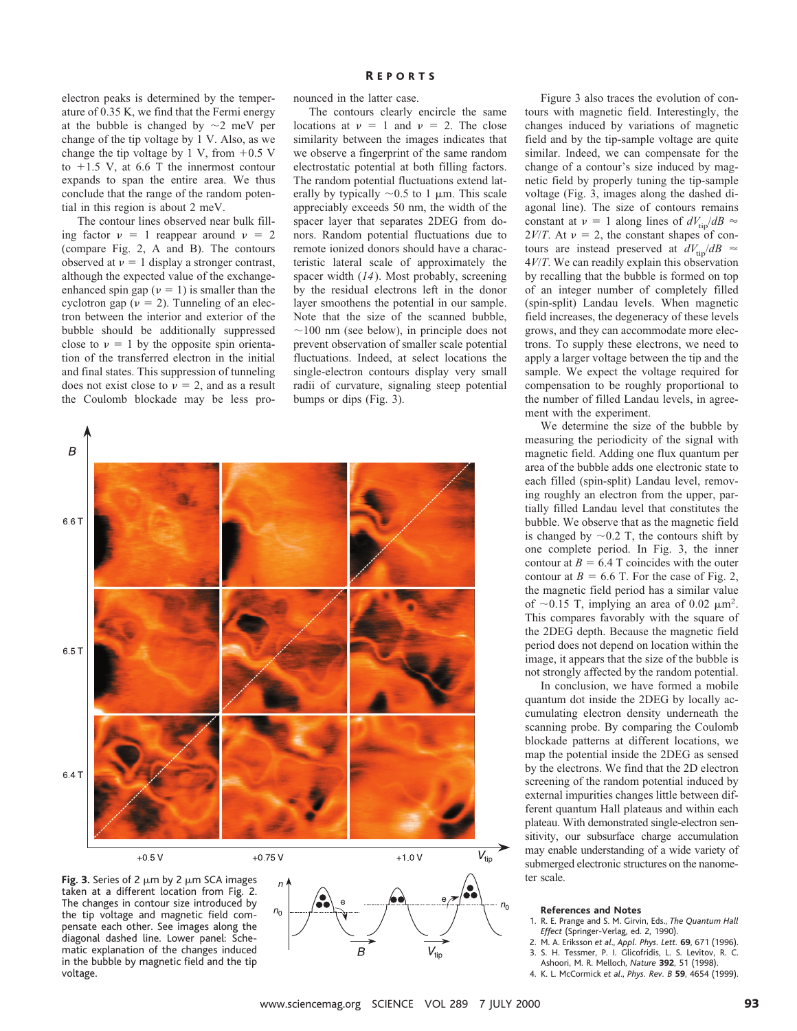electron peaks is determined by the temperature of 0.35 K, we find that the Fermi energy at the bubble is changed by  $\sim$ 2 meV per change of the tip voltage by 1 V. Also, as we change the tip voltage by 1 V, from  $+0.5$  V to  $+1.5$  V, at 6.6 T the innermost contour expands to span the entire area. We thus conclude that the range of the random potential in this region is about 2 meV.

The contour lines observed near bulk filling factor  $v = 1$  reappear around  $v = 2$ (compare Fig. 2, A and B). The contours observed at  $v = 1$  display a stronger contrast, although the expected value of the exchangeenhanced spin gap ( $\nu = 1$ ) is smaller than the cyclotron gap ( $\nu = 2$ ). Tunneling of an electron between the interior and exterior of the bubble should be additionally suppressed close to  $v = 1$  by the opposite spin orientation of the transferred electron in the initial and final states. This suppression of tunneling does not exist close to  $\nu = 2$ , and as a result the Coulomb blockade may be less pronounced in the latter case.

The contours clearly encircle the same locations at  $v = 1$  and  $v = 2$ . The close similarity between the images indicates that we observe a fingerprint of the same random electrostatic potential at both filling factors. The random potential fluctuations extend laterally by typically  $\sim 0.5$  to 1 µm. This scale appreciably exceeds 50 nm, the width of the spacer layer that separates 2DEG from donors. Random potential fluctuations due to remote ionized donors should have a characteristic lateral scale of approximately the spacer width (*14*). Most probably, screening by the residual electrons left in the donor layer smoothens the potential in our sample. Note that the size of the scanned bubble,  $\sim$ 100 nm (see below), in principle does not prevent observation of smaller scale potential fluctuations. Indeed, at select locations the single-electron contours display very small radii of curvature, signaling steep potential bumps or dips (Fig. 3).







Figure 3 also traces the evolution of contours with magnetic field. Interestingly, the changes induced by variations of magnetic field and by the tip-sample voltage are quite similar. Indeed, we can compensate for the change of a contour's size induced by magnetic field by properly tuning the tip-sample voltage (Fig. 3, images along the dashed diagonal line). The size of contours remains constant at  $v = 1$  along lines of  $dV_{\text{tip}}/dB \approx$  $2V/T$ . At  $\nu = 2$ , the constant shapes of contours are instead preserved at  $dV_{\text{tip}}/dB \approx$ 4*V*/*T*. We can readily explain this observation by recalling that the bubble is formed on top of an integer number of completely filled (spin-split) Landau levels. When magnetic field increases, the degeneracy of these levels grows, and they can accommodate more electrons. To supply these electrons, we need to apply a larger voltage between the tip and the sample. We expect the voltage required for compensation to be roughly proportional to the number of filled Landau levels, in agreement with the experiment.

We determine the size of the bubble by measuring the periodicity of the signal with magnetic field. Adding one flux quantum per area of the bubble adds one electronic state to each filled (spin-split) Landau level, removing roughly an electron from the upper, partially filled Landau level that constitutes the bubble. We observe that as the magnetic field is changed by  $\sim$ 0.2 T, the contours shift by one complete period. In Fig. 3, the inner contour at  $B = 6.4$  T coincides with the outer contour at  $B = 6.6$  T. For the case of Fig. 2, the magnetic field period has a similar value of  $\sim$ 0.15 T, implying an area of 0.02  $\mu$ m<sup>2</sup>. This compares favorably with the square of the 2DEG depth. Because the magnetic field period does not depend on location within the image, it appears that the size of the bubble is not strongly affected by the random potential.

In conclusion, we have formed a mobile quantum dot inside the 2DEG by locally accumulating electron density underneath the scanning probe. By comparing the Coulomb blockade patterns at different locations, we map the potential inside the 2DEG as sensed by the electrons. We find that the 2D electron screening of the random potential induced by external impurities changes little between different quantum Hall plateaus and within each plateau. With demonstrated single-electron sensitivity, our subsurface charge accumulation may enable understanding of a wide variety of submerged electronic structures on the nanometer scale.

#### **References and Notes**

- 1. R. E. Prange and S. M. Girvin, Eds., *The Quantum Hall Effect* (Springer-Verlag, ed. 2, 1990).
- 2. M. A. Eriksson *et al*., *Appl. Phys. Lett.* **69**, 671 (1996). 3. S. H. Tessmer, P. I. Glicofridis, L. S. Levitov, R. C.
- Ashoori, M. R. Melloch, *Nature* **392**, 51 (1998).
- 4. K. L. McCormick *et al*., *Phys. Rev. B* **59**, 4654 (1999).